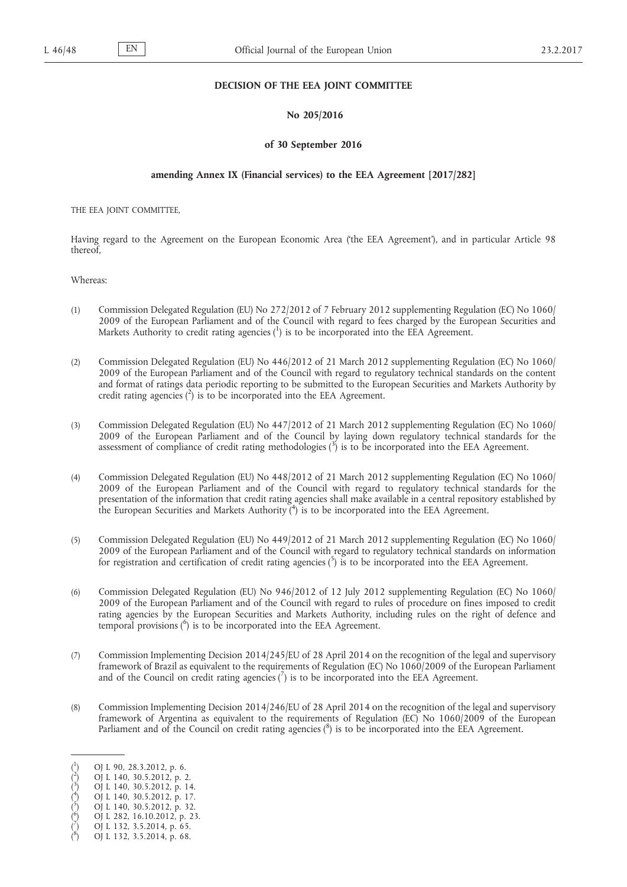# **DECISION OF THE EEA JOINT COMMITTEE**

# **No 205/2016**

### **of 30 September 2016**

# **amending Annex IX (Financial services) to the EEA Agreement [2017/282]**

THE EEA JOINT COMMITTEE,

Having regard to the Agreement on the European Economic Area ('the EEA Agreement'), and in particular Article 98 thereof,

Whereas:

- (1) Commission Delegated Regulation (EU) No 272/2012 of 7 February 2012 supplementing Regulation (EC) No 1060/ 2009 of the European Parliament and of the Council with regard to fees charged by the European Securities and Markets Authority to credit rating agencies  $\binom{1}{1}$  is to be incorporated into the EEA Agreement.
- (2) Commission Delegated Regulation (EU) No 446/2012 of 21 March 2012 supplementing Regulation (EC) No 1060/ 2009 of the European Parliament and of the Council with regard to regulatory technical standards on the content and format of ratings data periodic reporting to be submitted to the European Securities and Markets Authority by credit rating agencies  $(^2)$  is to be incorporated into the EEA Agreement.
- (3) Commission Delegated Regulation (EU) No 447/2012 of 21 March 2012 supplementing Regulation (EC) No 1060/ 2009 of the European Parliament and of the Council by laying down regulatory technical standards for the assessment of compliance of credit rating methodologies  $\binom{3}{1}$  is to be incorporated into the EEA Agreement.
- (4) Commission Delegated Regulation (EU) No 448/2012 of 21 March 2012 supplementing Regulation (EC) No 1060/ 2009 of the European Parliament and of the Council with regard to regulatory technical standards for the presentation of the information that credit rating agencies shall make available in a central repository established by the European Securities and Markets Authority  $\binom{4}{1}$  is to be incorporated into the EEA Agreement.
- (5) Commission Delegated Regulation (EU) No 449/2012 of 21 March 2012 supplementing Regulation (EC) No 1060/ 2009 of the European Parliament and of the Council with regard to regulatory technical standards on information for registration and certification of credit rating agencies  $\binom{5}{1}$  is to be incorporated into the EEA Agreement.
- (6) Commission Delegated Regulation (EU) No 946/2012 of 12 July 2012 supplementing Regulation (EC) No 1060/ 2009 of the European Parliament and of the Council with regard to rules of procedure on fines imposed to credit rating agencies by the European Securities and Markets Authority, including rules on the right of defence and temporal provisions ( 6 ) is to be incorporated into the EEA Agreement.
- (7) Commission Implementing Decision 2014/245/EU of 28 April 2014 on the recognition of the legal and supervisory framework of Brazil as equivalent to the requirements of Regulation (EC) No 1060/2009 of the European Parliament and of the Council on credit rating agencies  $\binom{7}{1}$  is to be incorporated into the EEA Agreement.
- (8) Commission Implementing Decision 2014/246/EU of 28 April 2014 on the recognition of the legal and supervisory framework of Argentina as equivalent to the requirements of Regulation (EC) No 1060/2009 of the European Parliament and of the Council on credit rating agencies (8) is to be incorporated into the EEA Agreement.

( ) OJ L 282, 16.10.2012, p. 23.

<sup>(</sup> 1 ) OJ L 90, 28.3.2012, p. 6.

<sup>(</sup> 2 ) OJ L 140, 30.5.2012, p. 2.

<sup>(</sup> 3 ) OJ L 140, 30.5.2012, p. 14. 4

<sup>(</sup> ) OJ L 140, 30.5.2012, p. 17. 5

<sup>(</sup> ) OJ L 140, 30.5.2012, p. 32. 6

<sup>(</sup> 7 ) OJ L 132, 3.5.2014, p. 65. 8

<sup>(</sup> ) OJ L 132, 3.5.2014, p. 68.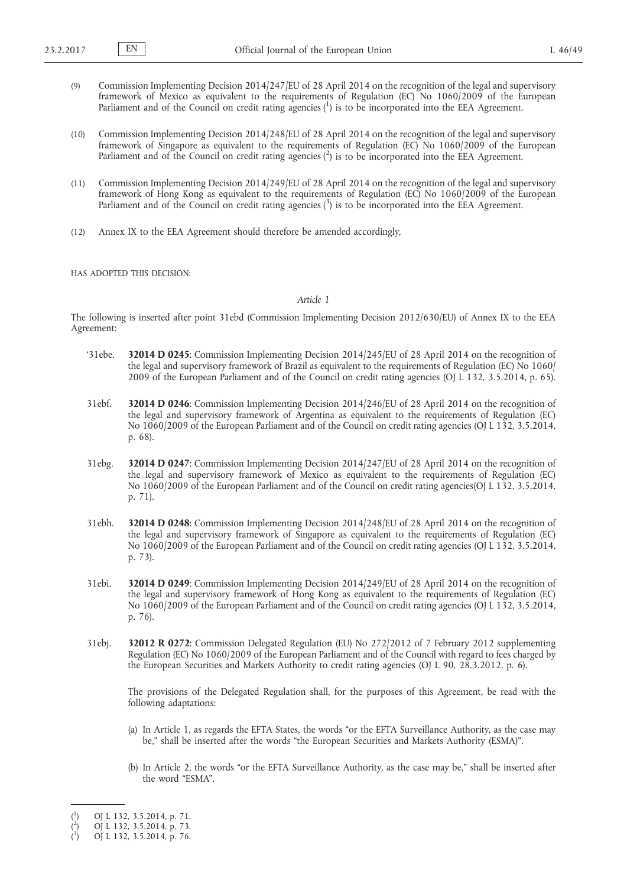- (9) Commission Implementing Decision 2014/247/EU of 28 April 2014 on the recognition of the legal and supervisory framework of Mexico as equivalent to the requirements of Regulation (EC) No 1060/2009 of the European Parliament and of the Council on credit rating agencies  $(^1)$  is to be incorporated into the EEA Agreement.
- (10) Commission Implementing Decision 2014/248/EU of 28 April 2014 on the recognition of the legal and supervisory framework of Singapore as equivalent to the requirements of Regulation (EC) No 1060/2009 of the European Parliament and of the Council on credit rating agencies  $(^2)$  is to be incorporated into the EEA Agreement.
- (11) Commission Implementing Decision 2014/249/EU of 28 April 2014 on the recognition of the legal and supervisory framework of Hong Kong as equivalent to the requirements of Regulation (EC) No 1060/2009 of the European Parliament and of the Council on credit rating agencies (3) is to be incorporated into the EEA Agreement.
- (12) Annex IX to the EEA Agreement should therefore be amended accordingly,

HAS ADOPTED THIS DECISION:

### *Article 1*

The following is inserted after point 31ebd (Commission Implementing Decision 2012/630/EU) of Annex IX to the EEA Agreement:

- '31ebe. **32014 D 0245**: Commission Implementing Decision 2014/245/EU of 28 April 2014 on the recognition of the legal and supervisory framework of Brazil as equivalent to the requirements of Regulation (EC) No 1060/ 2009 of the European Parliament and of the Council on credit rating agencies (OJ L 132, 3.5.2014, p. 65).
- 31ebf. **32014 D 0246**: Commission Implementing Decision 2014/246/EU of 28 April 2014 on the recognition of the legal and supervisory framework of Argentina as equivalent to the requirements of Regulation (EC) No 1060/2009 of the European Parliament and of the Council on credit rating agencies (OJ L 132, 3.5.2014, p. 68).
- 31ebg. **32014 D 0247**: Commission Implementing Decision 2014/247/EU of 28 April 2014 on the recognition of the legal and supervisory framework of Mexico as equivalent to the requirements of Regulation (EC) No 1060/2009 of the European Parliament and of the Council on credit rating agencies(OJ L 132, 3.5.2014, p. 71).
- 31ebh. **32014 D 0248**: Commission Implementing Decision 2014/248/EU of 28 April 2014 on the recognition of the legal and supervisory framework of Singapore as equivalent to the requirements of Regulation (EC) No 1060/2009 of the European Parliament and of the Council on credit rating agencies (OJ L 132, 3.5.2014, p. 73).
- 31ebi. **32014 D 0249**: Commission Implementing Decision 2014/249/EU of 28 April 2014 on the recognition of the legal and supervisory framework of Hong Kong as equivalent to the requirements of Regulation (EC) No 1060/2009 of the European Parliament and of the Council on credit rating agencies (OJ L 132, 3.5.2014, p. 76).
- 31ebj. **32012 R 0272**: Commission Delegated Regulation (EU) No 272/2012 of 7 February 2012 supplementing Regulation (EC) No 1060/2009 of the European Parliament and of the Council with regard to fees charged by the European Securities and Markets Authority to credit rating agencies (OJ L 90, 28.3.2012, p. 6).

The provisions of the Delegated Regulation shall, for the purposes of this Agreement, be read with the following adaptations:

- (a) In Article 1, as regards the EFTA States, the words "or the EFTA Surveillance Authority, as the case may be," shall be inserted after the words "the European Securities and Markets Authority (ESMA)".
- (b) In Article 2, the words "or the EFTA Surveillance Authority, as the case may be," shall be inserted after the word "ESMA".

<sup>(</sup> 1 ) OJ L 132, 3.5.2014, p. 71.

<sup>(</sup> 2 ) OJ L 132, 3.5.2014, p. 73.

<sup>(</sup> 3 ) OJ L 132, 3.5.2014, p. 76.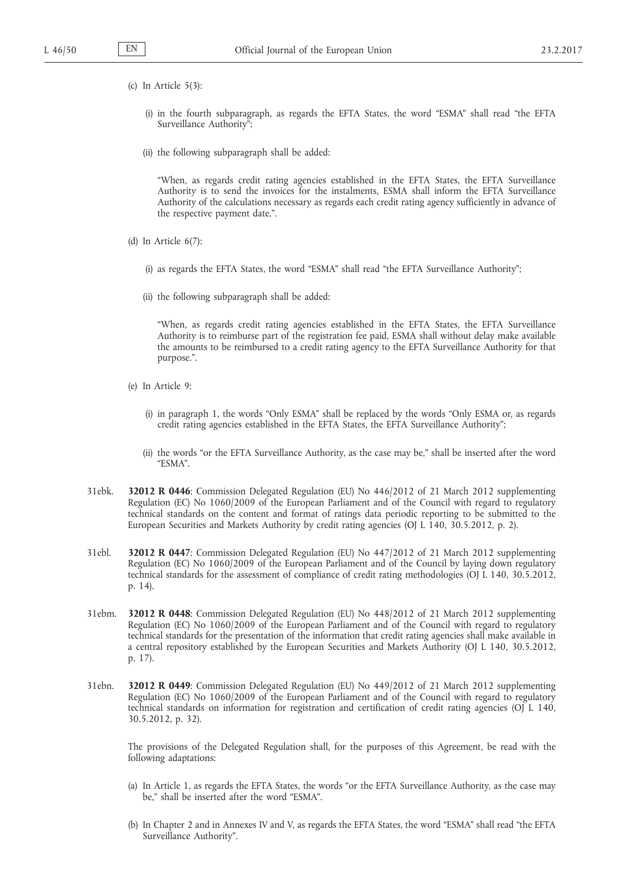- (c) In Article 5(3):
	- (i) in the fourth subparagraph, as regards the EFTA States, the word "ESMA" shall read "the EFTA Surveillance Authority";
	- (ii) the following subparagraph shall be added:

"When, as regards credit rating agencies established in the EFTA States, the EFTA Surveillance Authority is to send the invoices for the instalments, ESMA shall inform the EFTA Surveillance Authority of the calculations necessary as regards each credit rating agency sufficiently in advance of the respective payment date.".

- (d) In Article 6(7):
	- (i) as regards the EFTA States, the word "ESMA" shall read "the EFTA Surveillance Authority";
	- (ii) the following subparagraph shall be added:

"When, as regards credit rating agencies established in the EFTA States, the EFTA Surveillance Authority is to reimburse part of the registration fee paid, ESMA shall without delay make available the amounts to be reimbursed to a credit rating agency to the EFTA Surveillance Authority for that purpose.".

- (e) In Article 9:
	- (i) in paragraph 1, the words "Only ESMA" shall be replaced by the words "Only ESMA or, as regards credit rating agencies established in the EFTA States, the EFTA Surveillance Authority";
	- (ii) the words "or the EFTA Surveillance Authority, as the case may be," shall be inserted after the word "ESMA".
- 31ebk. **32012 R 0446**: Commission Delegated Regulation (EU) No 446/2012 of 21 March 2012 supplementing Regulation (EC) No 1060/2009 of the European Parliament and of the Council with regard to regulatory technical standards on the content and format of ratings data periodic reporting to be submitted to the European Securities and Markets Authority by credit rating agencies (OJ L 140, 30.5.2012, p. 2).
- 31ebl. **32012 R 0447**: Commission Delegated Regulation (EU) No 447/2012 of 21 March 2012 supplementing Regulation (EC) No 1060/2009 of the European Parliament and of the Council by laying down regulatory technical standards for the assessment of compliance of credit rating methodologies (OJ L 140, 30.5.2012, p. 14).
- 31ebm. **32012 R 0448**: Commission Delegated Regulation (EU) No 448/2012 of 21 March 2012 supplementing Regulation (EC) No 1060/2009 of the European Parliament and of the Council with regard to regulatory technical standards for the presentation of the information that credit rating agencies shall make available in a central repository established by the European Securities and Markets Authority (OJ L 140, 30.5.2012, p. 17).
- 31ebn. **32012 R 0449**: Commission Delegated Regulation (EU) No 449/2012 of 21 March 2012 supplementing Regulation (EC) No 1060/2009 of the European Parliament and of the Council with regard to regulatory technical standards on information for registration and certification of credit rating agencies (OJ L 140, 30.5.2012, p. 32).

The provisions of the Delegated Regulation shall, for the purposes of this Agreement, be read with the following adaptations:

- (a) In Article 1, as regards the EFTA States, the words "or the EFTA Surveillance Authority, as the case may be," shall be inserted after the word "ESMA".
- (b) In Chapter 2 and in Annexes IV and V, as regards the EFTA States, the word "ESMA" shall read "the EFTA Surveillance Authority".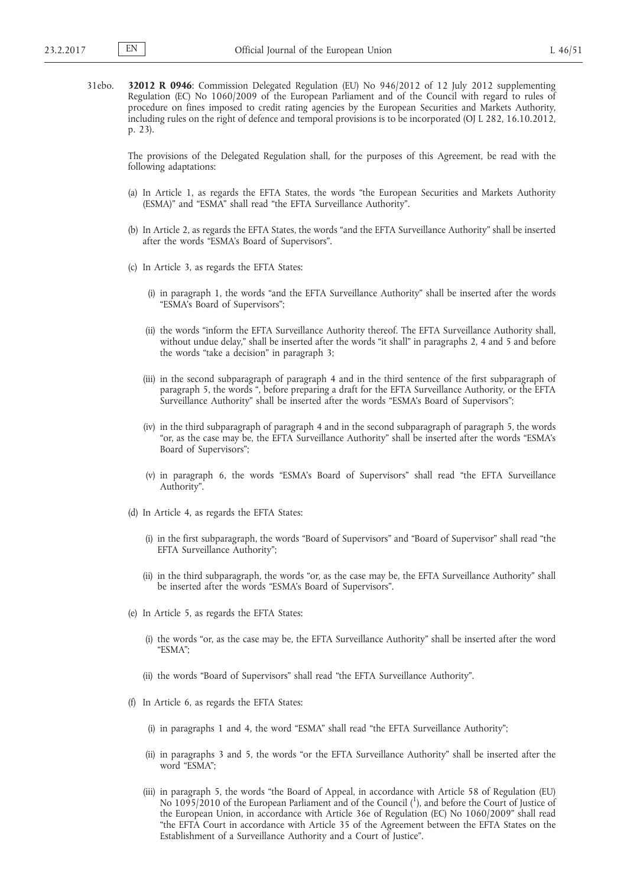31ebo. **32012 R 0946**: Commission Delegated Regulation (EU) No 946/2012 of 12 July 2012 supplementing Regulation (EC) No 1060/2009 of the European Parliament and of the Council with regard to rules of procedure on fines imposed to credit rating agencies by the European Securities and Markets Authority, including rules on the right of defence and temporal provisions is to be incorporated (OJ L 282, 16.10.2012, p. 23).

The provisions of the Delegated Regulation shall, for the purposes of this Agreement, be read with the following adaptations:

- (a) In Article 1, as regards the EFTA States, the words "the European Securities and Markets Authority (ESMA)" and "ESMA" shall read "the EFTA Surveillance Authority".
- (b) In Article 2, as regards the EFTA States, the words "and the EFTA Surveillance Authority" shall be inserted after the words "ESMA's Board of Supervisors".
- (c) In Article 3, as regards the EFTA States:
	- (i) in paragraph 1, the words "and the EFTA Surveillance Authority" shall be inserted after the words "ESMA's Board of Supervisors";
	- (ii) the words "inform the EFTA Surveillance Authority thereof. The EFTA Surveillance Authority shall, without undue delay," shall be inserted after the words "it shall" in paragraphs 2, 4 and 5 and before the words "take a decision" in paragraph 3;
	- (iii) in the second subparagraph of paragraph 4 and in the third sentence of the first subparagraph of paragraph 5, the words ", before preparing a draft for the EFTA Surveillance Authority, or the EFTA Surveillance Authority" shall be inserted after the words "ESMA's Board of Supervisors";
	- (iv) in the third subparagraph of paragraph 4 and in the second subparagraph of paragraph 5, the words "or, as the case may be, the EFTA Surveillance Authority" shall be inserted after the words "ESMA's Board of Supervisors";
	- (v) in paragraph 6, the words "ESMA's Board of Supervisors" shall read "the EFTA Surveillance Authority".
- (d) In Article 4, as regards the EFTA States:
	- (i) in the first subparagraph, the words "Board of Supervisors" and "Board of Supervisor" shall read "the EFTA Surveillance Authority";
	- (ii) in the third subparagraph, the words "or, as the case may be, the EFTA Surveillance Authority" shall be inserted after the words "ESMA's Board of Supervisors".
- (e) In Article 5, as regards the EFTA States:
	- (i) the words "or, as the case may be, the EFTA Surveillance Authority" shall be inserted after the word "ESMA";
	- (ii) the words "Board of Supervisors" shall read "the EFTA Surveillance Authority".
- (f) In Article 6, as regards the EFTA States:
	- (i) in paragraphs 1 and 4, the word "ESMA" shall read "the EFTA Surveillance Authority";
	- (ii) in paragraphs 3 and 5, the words "or the EFTA Surveillance Authority" shall be inserted after the word "ESMA";
	- (iii) in paragraph 5, the words "the Board of Appeal, in accordance with Article 58 of Regulation (EU) No 1095/2010 of the European Parliament and of the Council (1), and before the Court of Justice of the European Union, in accordance with Article 36e of Regulation (EC) No 1060/2009" shall read "the EFTA Court in accordance with Article 35 of the Agreement between the EFTA States on the Establishment of a Surveillance Authority and a Court of Justice".